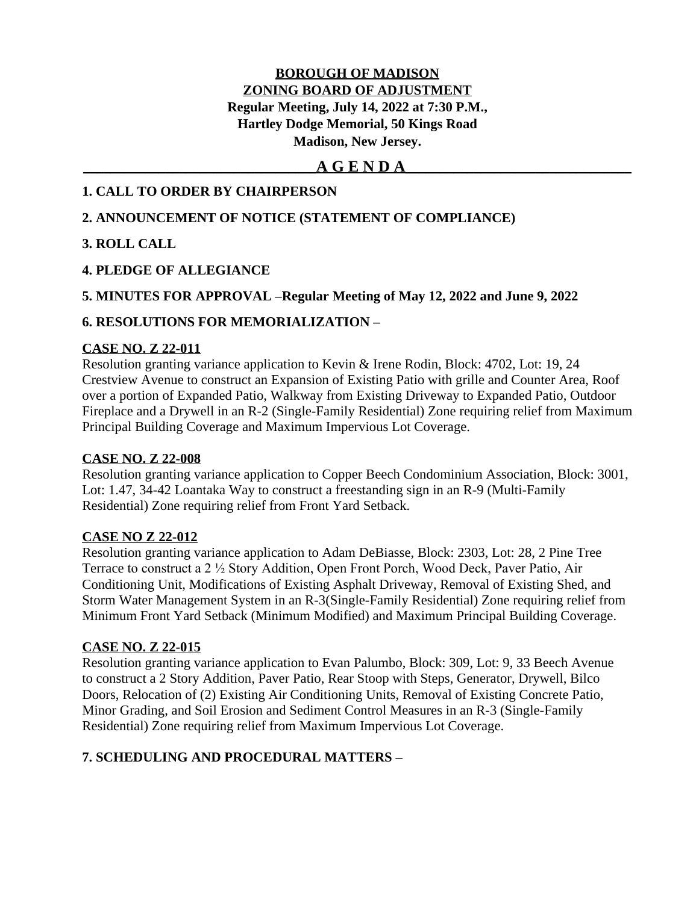## **BOROUGH OF MADISON ZONING BOARD OF ADJUSTMENT Regular Meeting, July 14, 2022 at 7:30 P.M., Hartley Dodge Memorial, 50 Kings Road Madison, New Jersey.**

## **\_\_\_\_\_\_\_\_\_\_\_\_\_\_\_\_\_\_\_\_\_\_\_\_\_\_\_\_\_\_\_\_\_\_A G E N D A\_\_\_\_\_\_\_\_\_\_\_\_\_\_\_\_\_\_\_\_\_\_\_\_\_\_\_\_\_\_\_\_\_**

## **1. CALL TO ORDER BY CHAIRPERSON**

## **2. ANNOUNCEMENT OF NOTICE (STATEMENT OF COMPLIANCE)**

## **3. ROLL CALL**

## **4. PLEDGE OF ALLEGIANCE**

## **5. MINUTES FOR APPROVAL –Regular Meeting of May 12, 2022 and June 9, 2022**

## **6. RESOLUTIONS FOR MEMORIALIZATION –**

## **CASE NO. Z 22-011**

Resolution granting variance application to Kevin & Irene Rodin, Block: 4702, Lot: 19, 24 Crestview Avenue to construct an Expansion of Existing Patio with grille and Counter Area, Roof over a portion of Expanded Patio, Walkway from Existing Driveway to Expanded Patio, Outdoor Fireplace and a Drywell in an R-2 (Single-Family Residential) Zone requiring relief from Maximum Principal Building Coverage and Maximum Impervious Lot Coverage.

## **CASE NO. Z 22-008**

Resolution granting variance application to Copper Beech Condominium Association, Block: 3001, Lot: 1.47, 34-42 Loantaka Way to construct a freestanding sign in an R-9 (Multi-Family Residential) Zone requiring relief from Front Yard Setback.

## **CASE NO Z 22-012**

Resolution granting variance application to Adam DeBiasse, Block: 2303, Lot: 28, 2 Pine Tree Terrace to construct a 2 ½ Story Addition, Open Front Porch, Wood Deck, Paver Patio, Air Conditioning Unit, Modifications of Existing Asphalt Driveway, Removal of Existing Shed, and Storm Water Management System in an R-3(Single-Family Residential) Zone requiring relief from Minimum Front Yard Setback (Minimum Modified) and Maximum Principal Building Coverage.

## **CASE NO. Z 22-015**

Resolution granting variance application to Evan Palumbo, Block: 309, Lot: 9, 33 Beech Avenue to construct a 2 Story Addition, Paver Patio, Rear Stoop with Steps, Generator, Drywell, Bilco Doors, Relocation of (2) Existing Air Conditioning Units, Removal of Existing Concrete Patio, Minor Grading, and Soil Erosion and Sediment Control Measures in an R-3 (Single-Family Residential) Zone requiring relief from Maximum Impervious Lot Coverage.

## **7. SCHEDULING AND PROCEDURAL MATTERS –**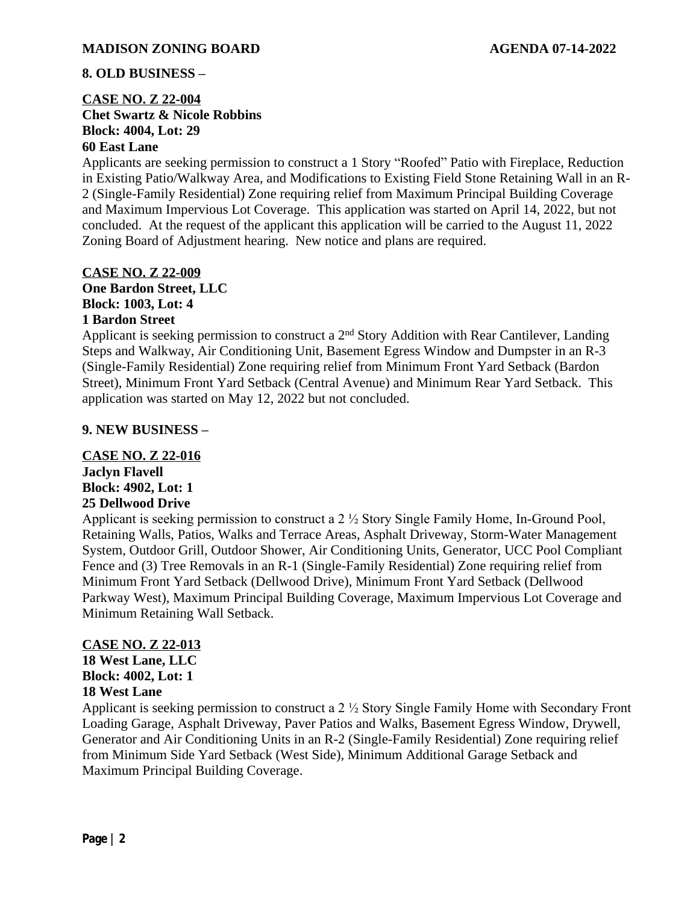## **8. OLD BUSINESS –**

## **CASE NO. Z 22-004 Chet Swartz & Nicole Robbins Block: 4004, Lot: 29 60 East Lane**

Applicants are seeking permission to construct a 1 Story "Roofed" Patio with Fireplace, Reduction in Existing Patio/Walkway Area, and Modifications to Existing Field Stone Retaining Wall in an R-2 (Single-Family Residential) Zone requiring relief from Maximum Principal Building Coverage and Maximum Impervious Lot Coverage. This application was started on April 14, 2022, but not concluded. At the request of the applicant this application will be carried to the August 11, 2022 Zoning Board of Adjustment hearing. New notice and plans are required.

## **CASE NO. Z 22-009 One Bardon Street, LLC Block: 1003, Lot: 4 1 Bardon Street**

Applicant is seeking permission to construct a 2nd Story Addition with Rear Cantilever, Landing Steps and Walkway, Air Conditioning Unit, Basement Egress Window and Dumpster in an R-3 (Single-Family Residential) Zone requiring relief from Minimum Front Yard Setback (Bardon Street), Minimum Front Yard Setback (Central Avenue) and Minimum Rear Yard Setback. This application was started on May 12, 2022 but not concluded.

## **9. NEW BUSINESS –**

## **CASE NO. Z 22-016 Jaclyn Flavell**

# **Block: 4902, Lot: 1**

# **25 Dellwood Drive**

Applicant is seeking permission to construct a 2 ½ Story Single Family Home, In-Ground Pool, Retaining Walls, Patios, Walks and Terrace Areas, Asphalt Driveway, Storm-Water Management System, Outdoor Grill, Outdoor Shower, Air Conditioning Units, Generator, UCC Pool Compliant Fence and (3) Tree Removals in an R-1 (Single-Family Residential) Zone requiring relief from Minimum Front Yard Setback (Dellwood Drive), Minimum Front Yard Setback (Dellwood Parkway West), Maximum Principal Building Coverage, Maximum Impervious Lot Coverage and Minimum Retaining Wall Setback.

## **CASE NO. Z 22-013 18 West Lane, LLC**

**Block: 4002, Lot: 1 18 West Lane**

Applicant is seeking permission to construct a 2 ½ Story Single Family Home with Secondary Front Loading Garage, Asphalt Driveway, Paver Patios and Walks, Basement Egress Window, Drywell, Generator and Air Conditioning Units in an R-2 (Single-Family Residential) Zone requiring relief from Minimum Side Yard Setback (West Side), Minimum Additional Garage Setback and Maximum Principal Building Coverage.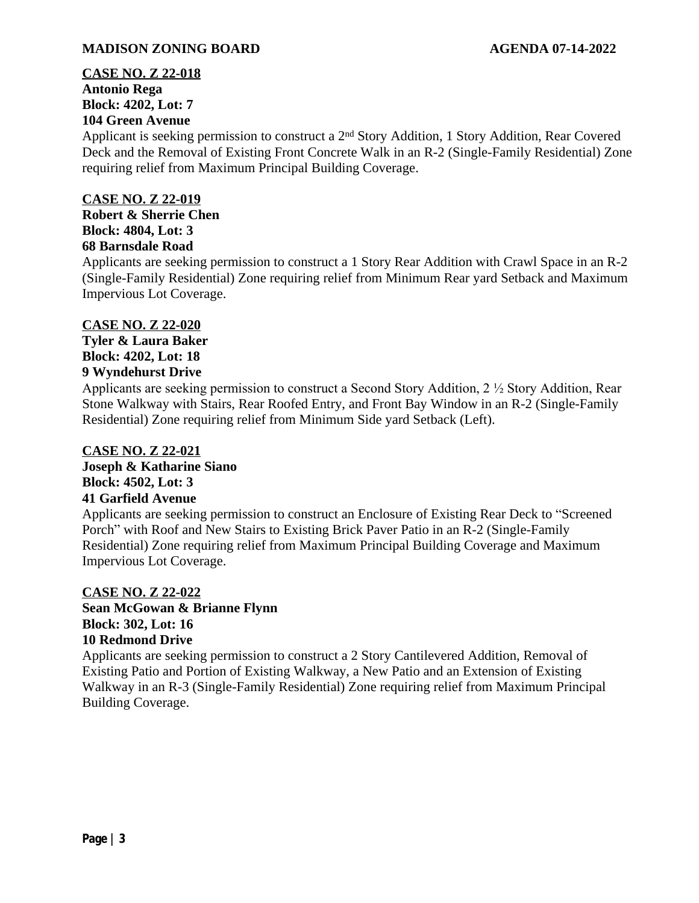## **CASE NO. Z 22-018 Antonio Rega Block: 4202, Lot: 7 104 Green Avenue**

Applicant is seeking permission to construct a 2nd Story Addition, 1 Story Addition, Rear Covered Deck and the Removal of Existing Front Concrete Walk in an R-2 (Single-Family Residential) Zone requiring relief from Maximum Principal Building Coverage.

## **CASE NO. Z 22-019**

**Robert & Sherrie Chen Block: 4804, Lot: 3 68 Barnsdale Road**

Applicants are seeking permission to construct a 1 Story Rear Addition with Crawl Space in an R-2 (Single-Family Residential) Zone requiring relief from Minimum Rear yard Setback and Maximum Impervious Lot Coverage.

## **CASE NO. Z 22-020**

**Tyler & Laura Baker Block: 4202, Lot: 18 9 Wyndehurst Drive**

Applicants are seeking permission to construct a Second Story Addition, 2 ½ Story Addition, Rear Stone Walkway with Stairs, Rear Roofed Entry, and Front Bay Window in an R-2 (Single-Family Residential) Zone requiring relief from Minimum Side yard Setback (Left).

## **CASE NO. Z 22-021 Joseph & Katharine Siano**

#### **Block: 4502, Lot: 3 41 Garfield Avenue**

Applicants are seeking permission to construct an Enclosure of Existing Rear Deck to "Screened Porch" with Roof and New Stairs to Existing Brick Paver Patio in an R-2 (Single-Family Residential) Zone requiring relief from Maximum Principal Building Coverage and Maximum Impervious Lot Coverage.

## **CASE NO. Z 22-022**

## **Sean McGowan & Brianne Flynn Block: 302, Lot: 16 10 Redmond Drive**

Applicants are seeking permission to construct a 2 Story Cantilevered Addition, Removal of Existing Patio and Portion of Existing Walkway, a New Patio and an Extension of Existing Walkway in an R-3 (Single-Family Residential) Zone requiring relief from Maximum Principal Building Coverage.